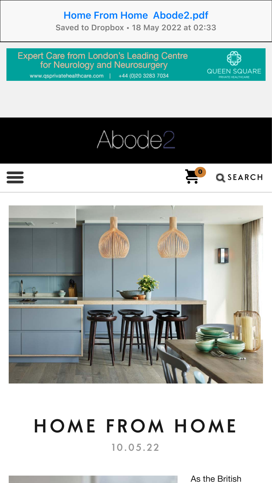# Home From Home Abode2.pdf

Saved to Dropbox • 18 May 2022 at 02:33

**Expert Care from London's Leading Centre** for Neurology and Neurosurgery

www.qsprivatehealthcare.com | +44 (0)20 3283 7034









# HOME FROM HOME 10.05.22

As the British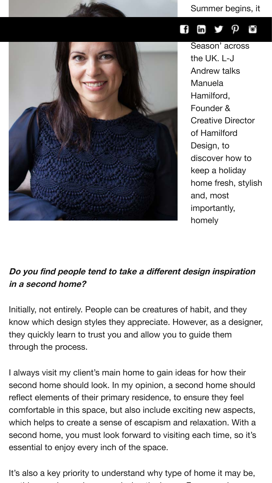#### Summer begins, it



#### heralds th[e d](http://www.pinterest.com/abode2/)a[wn](https://instagram.com/abodetwo) film  $\mathbf{y}$   $\mathbf{\rho}$

Season' across the UK. L-J Andrew talks **Manuela** Hamilford, Founder & Creative Director of Hamilford Design, to discover how to keep a holiday home fresh, stylish and, most importantly, homely

# **Do you find people tend to take a different design inspiration in a second home?**

Initially, not entirely. People can be creatures of habit, and they know which design styles they appreciate. However, as a designer, they quickly learn to trust you and allow you to guide them through the process.

I always visit my client's main home to gain ideas for how their second home should look. In my opinion, a second home should reflect elements of their primary residence, to ensure they feel comfortable in this space, but also include exciting new aspects, which helps to create a sense of escapism and relaxation. With a second home, you must look forward to visiting each time, so it's essential to enjoy every inch of the space.

It's also a key priority to understand why type of home it may be, as this can change how you design the home. For example, a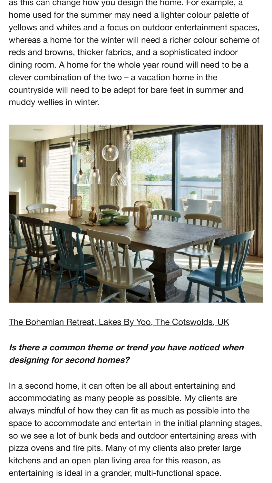as this can change how you design the home. For example, a home used for the summer may need a lighter colour palette of yellows and whites and a focus on outdoor entertainment spaces, whereas a home for the winter will need a richer colour scheme of reds and browns, thicker fabrics, and a sophisticated indoor dining room. A home for the whole year round will need to be a clever combination of the two – a vacation home in the countryside will need to be adept for bare feet in summer and muddy wellies in winter.



[The Bohemian Retreat, Lakes By Yoo, The Cotswolds, UK](https://www.abode2.com/wp-content/uploads/2022/05/Home-From-Home-7.png)

#### **Is there a common theme or trend you have noticed when designing for second homes?**

In a second home, it can often be all about entertaining and accommodating as many people as possible. My clients are always mindful of how they can fit as much as possible into the space to accommodate and entertain in the initial planning stages, so we see a lot of bunk beds and outdoor entertaining areas with pizza ovens and fire pits. Many of my clients also prefer large kitchens and an open plan living area for this reason, as entertaining is ideal in a grander, multi-functional space.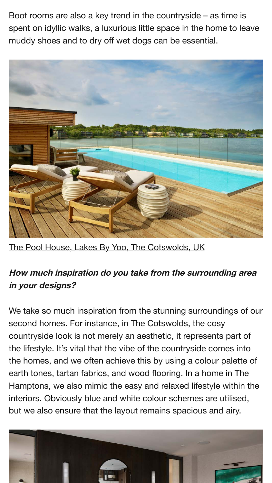Boot rooms are also a key trend in the countryside – as time is spent on idyllic walks, a luxurious little space in the home to leave muddy shoes and to dry off wet dogs can be essential.



[The Pool House, Lakes By Yoo, The Cotswolds, UK](https://www.abode2.com/wp-content/uploads/2022/05/Home-From-Home-1.png)

# **How much inspiration do you take from the surrounding area in your designs?**

We take so much inspiration from the stunning surroundings of our second homes. For instance, in The Cotswolds, the cosy countryside look is not merely an aesthetic, it represents part of the lifestyle. It's vital that the vibe of the countryside comes into the homes, and we often achieve this by using a colour palette of earth tones, tartan fabrics, and wood flooring. In a home in The Hamptons, we also mimic the easy and relaxed lifestyle within the interiors. Obviously blue and white colour schemes are utilised, but we also ensure that the layout remains spacious and airy.

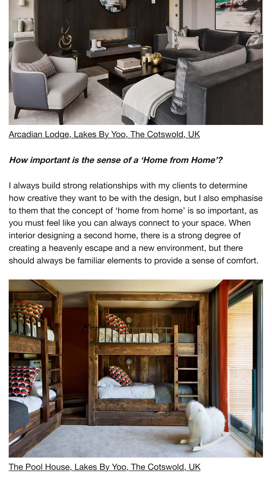

[Arcadian Lodge, Lakes By Yoo, The Cotswold, UK](https://www.abode2.com/wp-content/uploads/2022/05/Home-From-Home-4.png)

#### **How important is the sense of a 'Home from Home'?**

I always build strong relationships with my clients to determine how creative they want to be with the design, but I also emphasise to them that the concept of 'home from home' is so important, as you must feel like you can always connect to your space. When interior designing a second home, there is a strong degree of creating a heavenly escape and a new environment, but there should always be familiar elements to provide a sense of comfort.



[The Pool House, Lakes By Yoo, The Cotswold, UK](https://www.abode2.com/wp-content/uploads/2022/05/Home-From-Home-5.png)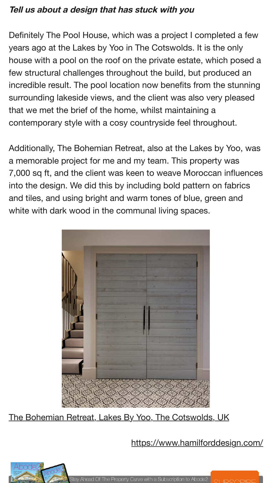#### **Tell us about a design that has stuck with you**

Definitely The Pool House, which was a project I completed a few years ago at the Lakes by Yoo in The Cotswolds. It is the only house with a pool on the roof on the private estate, which posed a few structural challenges throughout the build, but produced an incredible result. The pool location now benefits from the stunning surrounding lakeside views, and the client was also very pleased that we met the brief of the home, whilst maintaining a contemporary style with a cosy countryside feel throughout.

Additionally, The Bohemian Retreat, also at the Lakes by Yoo, was a memorable project for me and my team. This property was 7,000 sq ft, and the client was keen to weave Moroccan influences into the design. We did this by including bold pattern on fabrics and tiles, and using bright and warm tones of blue, green and white with dark wood in the communal living spaces.



[The Bohemian Retreat, Lakes By Yoo, The Cotswolds, UK](https://www.abode2.com/wp-content/uploads/2022/05/Home-From-Home-6.png)

<https://www.hamilforddesign.com/>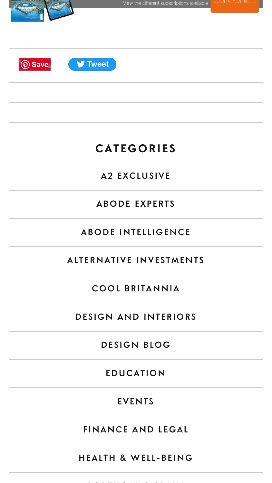

# **CATEGORIES**

# [A2 EXCLUSIVE](https://www.abode2.com/category/a2-exclusive/)

### [ABODE EXPERTS](https://www.abode2.com/category/abode-experts/)

### [ABODE INTELLIGENCE](https://www.abode2.com/category/abode-intelligence/)

# [ALTERNATIVE INVESTMENTS](https://www.abode2.com/category/alternative-investments/)

#### [COOL BRITANNIA](https://www.abode2.com/category/cool-britania/)

#### [DESIGN AND INTERIORS](https://www.abode2.com/category/design-and-interiors/)

# [DESIGN BLOG](https://www.abode2.com/category/blog/interior-blog/)

#### [EDUCATION](https://www.abode2.com/category/education/)

#### [EVENTS](https://www.abode2.com/category/events/)

# [FINANCE AND LEGAL](https://www.abode2.com/category/finance-and-legal/)

#### [HEALTH & WELL-BEING](https://www.abode2.com/category/health-and-well-being/)

[PORTUGAL & SPAIN](https://www.abode2.com/category/portugal-spain/)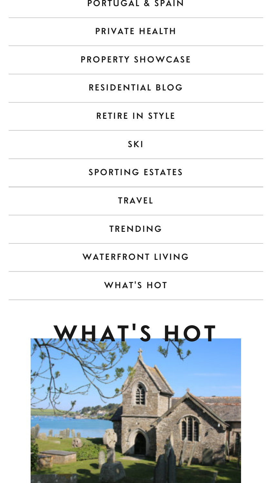#### [PORTUGAL & SPAIN](https://www.abode2.com/category/portugal-spain/)

#### [PRIVATE HEALTH](https://www.abode2.com/category/private-health/)

#### [PROPERTY SHOWCASE](https://www.abode2.com/category/property-showcase/)

#### [RESIDENTIAL BLOG](https://www.abode2.com/category/blog/residential-blog/)

#### [RETIRE IN STYLE](https://www.abode2.com/category/retire-in-style/)

#### [SKI](https://www.abode2.com/category/ski/)

#### [SPORTING ESTATES](https://www.abode2.com/category/sporting-estates/)

#### [TRAVEL](https://www.abode2.com/category/travel/)

#### [TRENDING](https://www.abode2.com/category/trending/)

#### [WATERFRONT LIVING](https://www.abode2.com/category/waterfront-living/)

#### [WHAT'S HOT](https://www.abode2.com/category/whats-hot/)

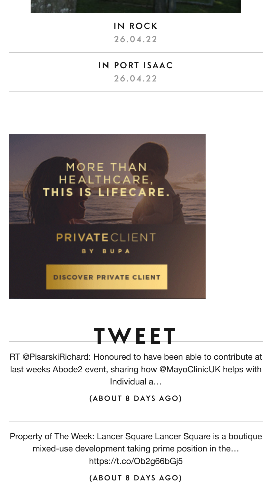[IN ROCK](https://www.abode2.com/in-rock/)

26.04.22

#### [IN PORT ISAAC](https://www.abode2.com/in-port-isaac/)

26.04.22



# **TWEET**

RT @PisarskiRichard: Honoured to have been able to contribute at last weeks Abode2 event, sharing how @MayoClinicUK helps with Individual a…

[\(ABOUT 8 DAYS AGO\)](http://twitter.com/AbodeTwo/statuses/1523659236219236354)

Property of The Week: Lancer Square Lancer Square is a boutique mixed-use development taking prime position in the…

https://t.co/Ob2g66bGj5

[\(ABOUT 8 DAYS AGO\)](http://twitter.com/AbodeTwo/statuses/1523604596605792259)